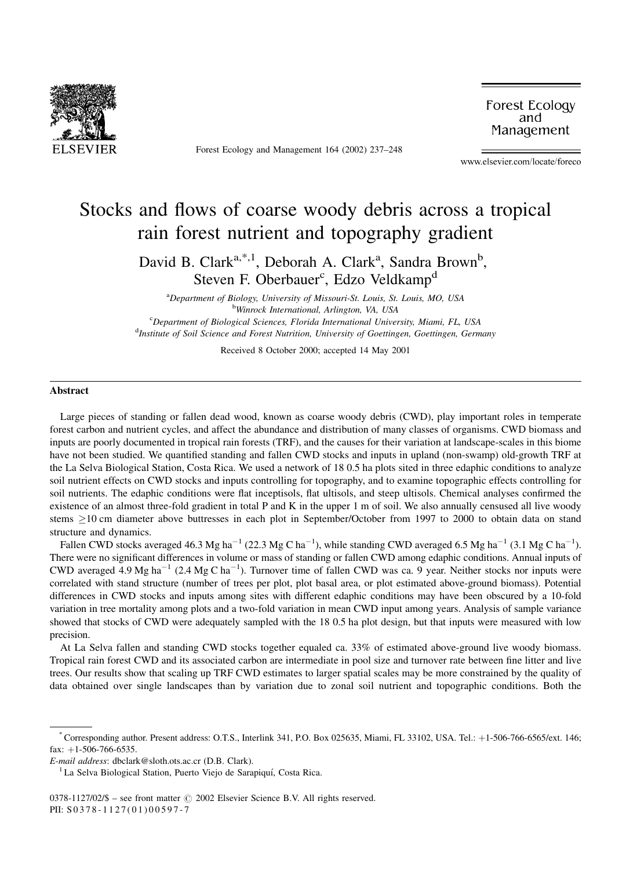

Forest Ecology and Management 164 (2002) 237-248

Forest Ecology and Management

www.elsevier.com/locate/foreco

# Stocks and flows of coarse woody debris across a tropical rain forest nutrient and topography gradient

David B. Clark<sup>a,\*,1</sup>, Deborah A. Clark<sup>a</sup>, Sandra Brown<sup>b</sup>, Steven F. Oberbauer<sup>c</sup>, Edzo Veldkamp<sup>d</sup>

<sup>a</sup>Department of Biology, University of Missouri-St. Louis, St. Louis, MO, USA <sup>b</sup>Winrock International, Arlington, VA, USA <sup>c</sup>Department of Biological Sciences, Florida International University, Miami, FL, USA <sup>d</sup>Institute of Soil Science and Forest Nutrition, University of Goettingen, Goettingen, Germany

Received 8 October 2000; accepted 14 May 2001

#### Abstract

Large pieces of standing or fallen dead wood, known as coarse woody debris (CWD), play important roles in temperate forest carbon and nutrient cycles, and affect the abundance and distribution of many classes of organisms. CWD biomass and inputs are poorly documented in tropical rain forests (TRF), and the causes for their variation at landscape-scales in this biome have not been studied. We quantified standing and fallen CWD stocks and inputs in upland (non-swamp) old-growth TRF at the La Selva Biological Station, Costa Rica. We used a network of 18 0.5 ha plots sited in three edaphic conditions to analyze soil nutrient effects on CWD stocks and inputs controlling for topography, and to examine topographic effects controlling for soil nutrients. The edaphic conditions were flat inceptisols, flat ultisols, and steep ultisols. Chemical analyses confirmed the existence of an almost three-fold gradient in total P and K in the upper 1 m of soil. We also annually censused all live woody stems  $\geq$ 10 cm diameter above buttresses in each plot in September/October from 1997 to 2000 to obtain data on stand structure and dynamics.

Fallen CWD stocks averaged 46.3 Mg ha<sup>-1</sup> (22.3 Mg C ha<sup>-1</sup>), while standing CWD averaged 6.5 Mg ha<sup>-1</sup> (3.1 Mg C ha<sup>-1</sup>). There were no significant differences in volume or mass of standing or fallen CWD among edaphic conditions. Annual inputs of CWD averaged 4.9 Mg ha<sup>-1</sup> (2.4 Mg C ha<sup>-1</sup>). Turnover time of fallen CWD was ca. 9 year. Neither stocks nor inputs were correlated with stand structure (number of trees per plot, plot basal area, or plot estimated above-ground biomass). Potential differences in CWD stocks and inputs among sites with different edaphic conditions may have been obscured by a 10-fold variation in tree mortality among plots and a two-fold variation in mean CWD input among years. Analysis of sample variance showed that stocks of CWD were adequately sampled with the 18 0.5 ha plot design, but that inputs were measured with low precision.

At La Selva fallen and standing CWD stocks together equaled ca. 33% of estimated above-ground live woody biomass. Tropical rain forest CWD and its associated carbon are intermediate in pool size and turnover rate between fine litter and live trees. Our results show that scaling up TRF CWD estimates to larger spatial scales may be more constrained by the quality of data obtained over single landscapes than by variation due to zonal soil nutrient and topographic conditions. Both the

Corresponding author. Present address: O.T.S., Interlink 341, P.O. Box 025635, Miami, FL 33102, USA. Tel.: +1-506-766-6565/ext. 146; fax:  $+1-506-766-6535$ .

E-mail address: dbclark@sloth.ots.ac.cr (D.B. Clark).

<sup>&</sup>lt;sup>1</sup> La Selva Biological Station, Puerto Viejo de Sarapiquí, Costa Rica.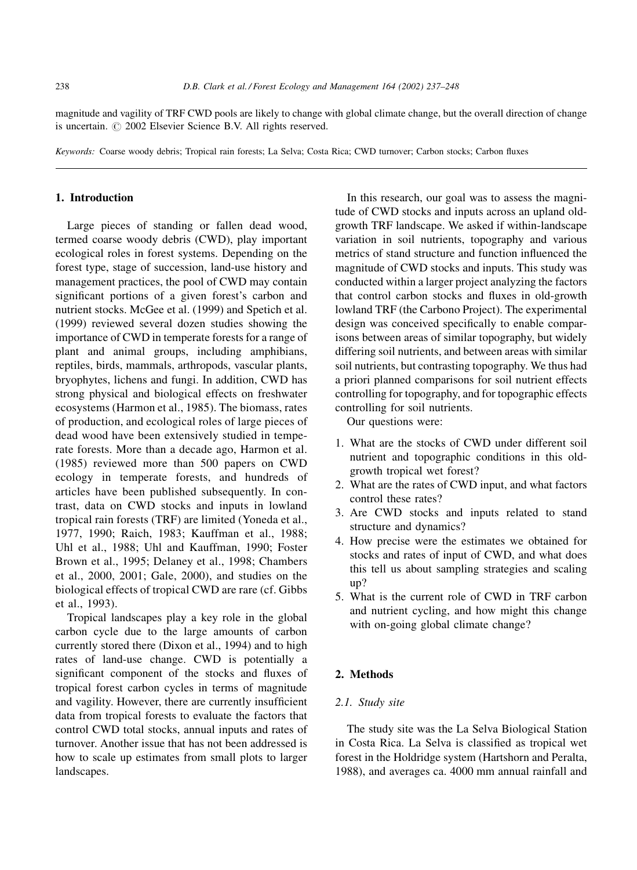magnitude and vagility of TRF CWD pools are likely to change with global climate change, but the overall direction of change is uncertain. C 2002 Elsevier Science B.V. All rights reserved.

Keywords: Coarse woody debris; Tropical rain forests; La Selva; Costa Rica; CWD turnover; Carbon stocks; Carbon fluxes

## 1. Introduction

Large pieces of standing or fallen dead wood, termed coarse woody debris (CWD), play important ecological roles in forest systems. Depending on the forest type, stage of succession, land-use history and management practices, the pool of CWD may contain significant portions of a given forest's carbon and nutrient stocks. McGee et al. (1999) and Spetich et al. (1999) reviewed several dozen studies showing the importance of CWD in temperate forests for a range of plant and animal groups, including amphibians, reptiles, birds, mammals, arthropods, vascular plants, bryophytes, lichens and fungi. In addition, CWD has strong physical and biological effects on freshwater ecosystems (Harmon et al., 1985). The biomass, rates of production, and ecological roles of large pieces of dead wood have been extensively studied in temperate forests. More than a decade ago, Harmon et al. (1985) reviewed more than 500 papers on CWD ecology in temperate forests, and hundreds of articles have been published subsequently. In contrast, data on CWD stocks and inputs in lowland tropical rain forests (TRF) are limited (Yoneda et al., 1977, 1990; Raich, 1983; Kauffman et al., 1988; Uhl et al., 1988; Uhl and Kauffman, 1990; Foster Brown et al., 1995; Delaney et al., 1998; Chambers et al., 2000, 2001; Gale, 2000), and studies on the biological effects of tropical CWD are rare (cf. Gibbs et al., 1993).

Tropical landscapes play a key role in the global carbon cycle due to the large amounts of carbon currently stored there (Dixon et al., 1994) and to high rates of land-use change. CWD is potentially a significant component of the stocks and fluxes of tropical forest carbon cycles in terms of magnitude and vagility. However, there are currently insufficient data from tropical forests to evaluate the factors that control CWD total stocks, annual inputs and rates of turnover. Another issue that has not been addressed is how to scale up estimates from small plots to larger landscapes.

In this research, our goal was to assess the magnitude of CWD stocks and inputs across an upland oldgrowth TRF landscape. We asked if within-landscape variation in soil nutrients, topography and various metrics of stand structure and function influenced the magnitude of CWD stocks and inputs. This study was conducted within a larger project analyzing the factors that control carbon stocks and fluxes in old-growth lowland TRF (the Carbono Project). The experimental design was conceived specifically to enable comparisons between areas of similar topography, but widely differing soil nutrients, and between areas with similar soil nutrients, but contrasting topography. We thus had a priori planned comparisons for soil nutrient effects controlling for topography, and for topographic effects controlling for soil nutrients.

Our questions were:

- 1. What are the stocks of CWD under different soil nutrient and topographic conditions in this oldgrowth tropical wet forest?
- 2. What are the rates of CWD input, and what factors control these rates?
- 3. Are CWD stocks and inputs related to stand structure and dynamics?
- 4. How precise were the estimates we obtained for stocks and rates of input of CWD, and what does this tell us about sampling strategies and scaling  $un?$
- 5. What is the current role of CWD in TRF carbon and nutrient cycling, and how might this change with on-going global climate change?

## 2. Methods

## 2.1. Study site

The study site was the La Selva Biological Station in Costa Rica. La Selva is classified as tropical wet forest in the Holdridge system (Hartshorn and Peralta, 1988), and averages ca. 4000 mm annual rainfall and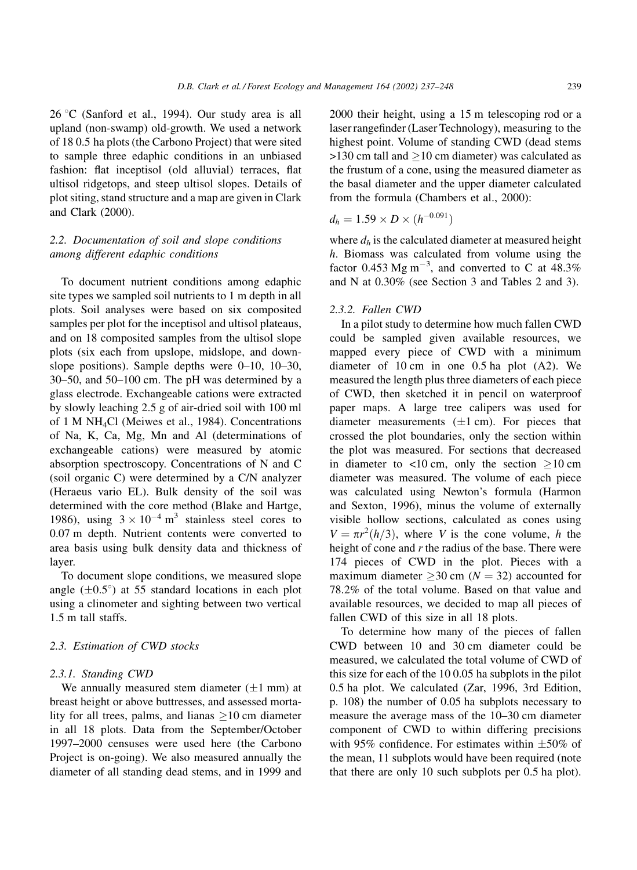26 °C (Sanford et al., 1994). Our study area is all upland (non-swamp) old-growth. We used a network of 18 0.5 ha plots (the Carbono Project) that were sited to sample three edaphic conditions in an unbiased fashion: flat inceptisol (old alluvial) terraces, flat ultisol ridgetops, and steep ultisol slopes. Details of plot siting, stand structure and a map are given in Clark and Clark (2000).

## 2.2. Documentation of soil and slope conditions among different edaphic conditions

To document nutrient conditions among edaphic site types we sampled soil nutrients to 1 m depth in all plots. Soil analyses were based on six composited samples per plot for the inceptisol and ultisol plateaus, and on 18 composited samples from the ultisol slope plots (six each from upslope, midslope, and downslope positions). Sample depths were  $0-10$ ,  $10-30$ , 30–50, and 50–100 cm. The pH was determined by a glass electrode. Exchangeable cations were extracted by slowly leaching 2.5 g of air-dried soil with 100 ml of 1 M NH<sub>4</sub>Cl (Meiwes et al., 1984). Concentrations of Na, K, Ca, Mg, Mn and Al (determinations of exchangeable cations) were measured by atomic absorption spectroscopy. Concentrations of N and C (soil organic C) were determined by a C/N analyzer (Heraeus vario EL). Bulk density of the soil was determined with the core method (Blake and Hartge, 1986), using  $3 \times 10^{-4}$  m<sup>3</sup> stainless steel cores to 0.07 m depth. Nutrient contents were converted to area basis using bulk density data and thickness of layer.

To document slope conditions, we measured slope angle  $(\pm 0.5^{\circ})$  at 55 standard locations in each plot using a clinometer and sighting between two vertical 1.5 m tall staffs.

## 2.3. Estimation of CWD stocks

#### 2.3.1. Standing CWD

We annually measured stem diameter  $(\pm 1$  mm) at breast height or above buttresses, and assessed mortality for all trees, palms, and lianas  $\geq 10$  cm diameter in all 18 plots. Data from the September/October 1997–2000 censuses were used here (the Carbono Project is on-going). We also measured annually the diameter of all standing dead stems, and in 1999 and

2000 their height, using a 15 m telescoping rod or a laser rangefinder (Laser Technology), measuring to the highest point. Volume of standing CWD (dead stems  $>130$  cm tall and  $>10$  cm diameter) was calculated as the frustum of a cone, using the measured diameter as the basal diameter and the upper diameter calculated from the formula (Chambers et al., 2000):

$$
d_h = 1.59 \times D \times (h^{-0.091})
$$

where  $d_h$  is the calculated diameter at measured height  $h$ . Biomass was calculated from volume using the factor 0.453 Mg m<sup>-3</sup>, and converted to C at 48.3% and N at 0.30% (see Section 3 and Tables 2 and 3).

#### 2.3.2. Fallen CWD

In a pilot study to determine how much fallen CWD could be sampled given available resources, we mapped every piece of CWD with a minimum diameter of  $10 \text{ cm}$  in one  $0.5 \text{ ha}$  plot  $(A2)$ . We measured the length plus three diameters of each piece of CWD, then sketched it in pencil on waterproof paper maps. A large tree calipers was used for diameter measurements  $(\pm 1 \text{ cm})$ . For pieces that crossed the plot boundaries, only the section within the plot was measured. For sections that decreased in diameter to <10 cm, only the section  $\geq$ 10 cm diameter was measured. The volume of each piece was calculated using Newton's formula (Harmon and Sexton, 1996), minus the volume of externally visible hollow sections, calculated as cones using  $V = \pi r^2 (h/3)$ , where V is the cone volume, h the height of cone and  $r$  the radius of the base. There were 174 pieces of CWD in the plot. Pieces with a maximum diameter > 30 cm ( $N = 32$ ) accounted for 78.2% of the total volume. Based on that value and available resources, we decided to map all pieces of fallen CWD of this size in all 18 plots.

To determine how many of the pieces of fallen CWD between 10 and 30 cm diameter could be measured, we calculated the total volume of CWD of this size for each of the  $100.05$  ha subplots in the pilot 0.5 ha plot. We calculated (Zar, 1996, 3rd Edition, p. 108) the number of 0.05 ha subplots necessary to measure the average mass of the 10–30 cm diameter component of CWD to within differing precisions with 95% confidence. For estimates within  $\pm 50\%$  of the mean, 11 subplots would have been required (note that there are only 10 such subplots per 0.5 ha plot).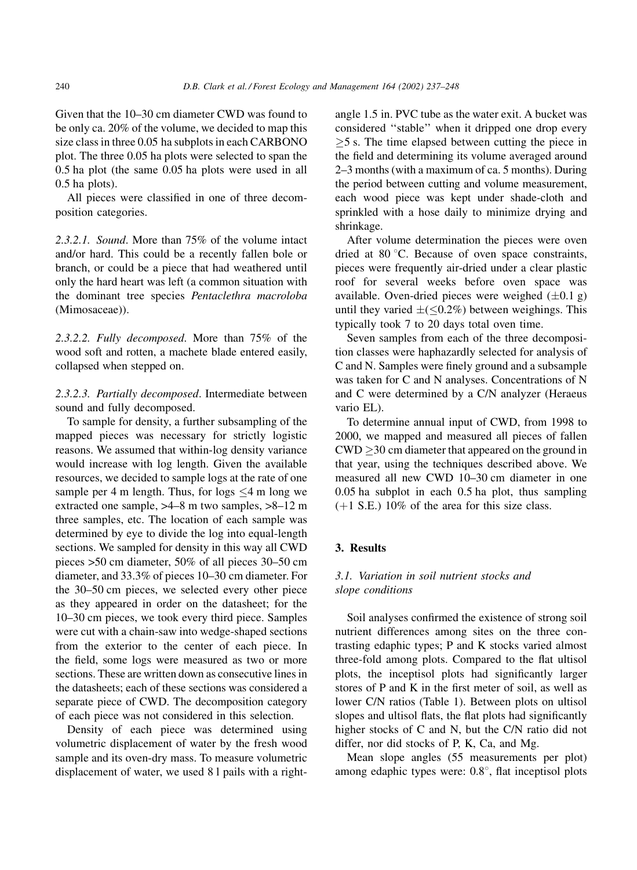Given that the 10–30 cm diameter CWD was found to be only ca. 20% of the volume, we decided to map this size class in three 0.05 ha subplots in each CARBONO plot. The three 0.05 ha plots were selected to span the  $0.5$  ha plot (the same  $0.05$  ha plots were used in all  $0.5$  ha plots).

All pieces were classified in one of three decomposition categories.

2.3.2.1. Sound. More than 75% of the volume intact and/or hard. This could be a recently fallen bole or branch, or could be a piece that had weathered until only the hard heart was left (a common situation with the dominant tree species Pentaclethra macroloba (Mimosaceae)).

2.3.2.2. Fully decomposed. More than 75% of the wood soft and rotten, a machete blade entered easily, collapsed when stepped on.

2.3.2.3. Partially decomposed. Intermediate between sound and fully decomposed.

To sample for density, a further subsampling of the mapped pieces was necessary for strictly logistic reasons. We assumed that within-log density variance would increase with log length. Given the available resources, we decided to sample logs at the rate of one sample per 4 m length. Thus, for logs  $\leq$ 4 m long we extracted one sample, >4–8 m two samples, >8–12 m three samples, etc. The location of each sample was determined by eye to divide the log into equal-length sections. We sampled for density in this way all CWD pieces >50 cm diameter, 50% of all pieces 30–50 cm diameter, and 33.3% of pieces 10-30 cm diameter. For the 30–50 cm pieces, we selected every other piece as they appeared in order on the datasheet; for the 10-30 cm pieces, we took every third piece. Samples were cut with a chain-saw into wedge-shaped sections from the exterior to the center of each piece. In the field, some logs were measured as two or more sections. These are written down as consecutive lines in the datasheets; each of these sections was considered a separate piece of CWD. The decomposition category of each piece was not considered in this selection.

Density of each piece was determined using volumetric displacement of water by the fresh wood sample and its oven-dry mass. To measure volumetric displacement of water, we used 8 l pails with a rightangle 1.5 in. PVC tube as the water exit. A bucket was considered "stable" when it dripped one drop every  $>5$  s. The time elapsed between cutting the piece in the field and determining its volume averaged around 2–3 months (with a maximum of ca. 5 months). During the period between cutting and volume measurement, each wood piece was kept under shade-cloth and sprinkled with a hose daily to minimize drying and shrinkage.

After volume determination the pieces were oven dried at  $80^{\circ}$ C. Because of oven space constraints, pieces were frequently air-dried under a clear plastic roof for several weeks before oven space was available. Oven-dried pieces were weighed  $(\pm 0.1 \text{ g})$ until they varied  $\pm(\leq0.2\%)$  between weighings. This typically took 7 to 20 days total oven time.

Seven samples from each of the three decomposition classes were haphazardly selected for analysis of C and N. Samples were finely ground and a subsample was taken for C and N analyses. Concentrations of N and C were determined by a C/N analyzer (Heraeus vario EL).

To determine annual input of CWD, from 1998 to 2000, we mapped and measured all pieces of fallen  $CWD > 30$  cm diameter that appeared on the ground in that year, using the techniques described above. We measured all new CWD 10-30 cm diameter in one  $0.05$  ha subplot in each  $0.5$  ha plot, thus sampling  $(+1 S.E.)$  10% of the area for this size class.

#### 3. Results

## 3.1. Variation in soil nutrient stocks and slope conditions

Soil analyses confirmed the existence of strong soil nutrient differences among sites on the three contrasting edaphic types; P and K stocks varied almost three-fold among plots. Compared to the flat ultisol plots, the inceptisol plots had significantly larger stores of P and K in the first meter of soil, as well as lower C/N ratios (Table 1). Between plots on ultisol slopes and ultisol flats, the flat plots had significantly higher stocks of C and N, but the C/N ratio did not differ, nor did stocks of P, K, Ca, and Mg.

Mean slope angles (55 measurements per plot) among edaphic types were:  $0.8^{\circ}$ , flat inceptisol plots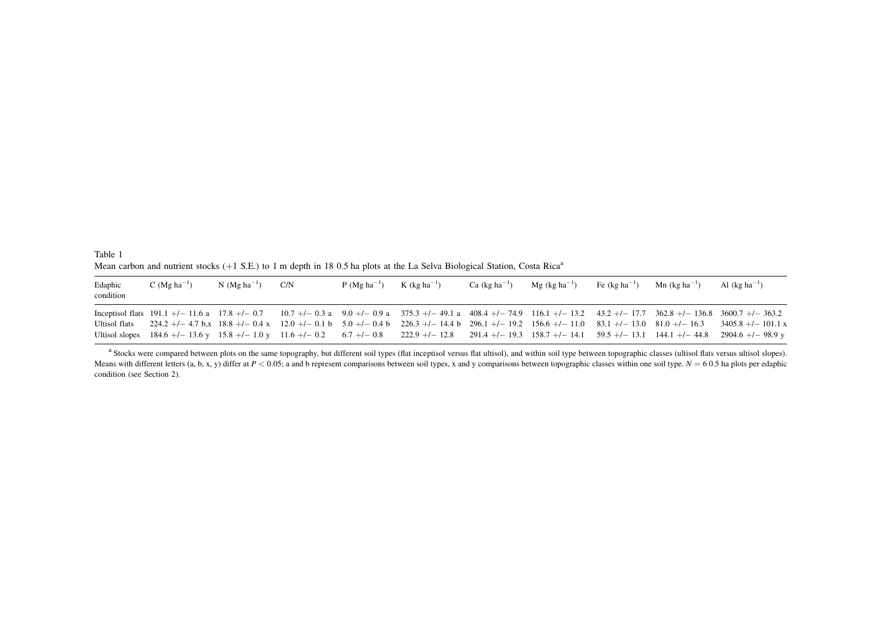Table 1 Mean carbon and nutrient stocks  $(+1 S.E.)$  to 1 m depth in 18 0.5 ha plots at the La Selva Biological Station, Costa Rica<sup>a</sup>

| Edaphic<br>condition | C (Mg ha <sup>-1</sup> ) | $N$ (Mg ha <sup>-1</sup> ) | C/N | P ( $Mg$ ha <sup>-1</sup> ) | $K$ (kg ha <sup>-1</sup> ) | Ca $(kg ha^{-1})$ | $Mg$ (kg ha <sup>-1</sup> ) | Fe $(kg \text{ ha}^{-1})$ | $Mn$ (kg ha <sup>-1</sup> ) | Al $(kg ha^{-1})$                                                                                                                                                                                                                                                                                                                       |
|----------------------|--------------------------|----------------------------|-----|-----------------------------|----------------------------|-------------------|-----------------------------|---------------------------|-----------------------------|-----------------------------------------------------------------------------------------------------------------------------------------------------------------------------------------------------------------------------------------------------------------------------------------------------------------------------------------|
|                      |                          |                            |     |                             |                            |                   |                             |                           |                             | Inceptisol flats 191.1 +/- 11.6 a 17.8 +/- 0.7 10.7 +/- 0.3 a 9.0 +/- 0.9 a 375.3 +/- 49.1 a 408.4 +/- 74.9 116.1 +/- 13.2 43.2 +/- 17.7 362.8 +/- 136.8 3600.7 +/- 363.2                                                                                                                                                               |
| Ultisol flats        |                          |                            |     |                             |                            |                   |                             |                           |                             | $224.2 +/- 4.7$ b.x $18.8 +/- 0.4$ x $12.0 +/- 0.1$ b $5.0 +/- 0.4$ b $226.3 +/- 14.4$ b $296.1 +/- 19.2$ $156.6 +/- 11.0$ $83.1 +/- 13.0$ $81.0 +/- 16.3$ $3405.8 +/- 101.1$ x                                                                                                                                                         |
|                      |                          |                            |     |                             |                            |                   |                             |                           |                             | Ultisol slopes $184.6 + (-13.6 \text{ y } 15.8 + (-1.0 \text{ y } 11.6 + (-0.2 \text{ 6.7}) + (-0.8 \text{ 222.9}) + (-12.8 \text{ 291.4}) - (-12.8 \text{ 291.4}) - (-12.8 \text{ 291.4}) - (-12.8 \text{ 291.4}) - (-12.8 \text{ 291.4}) - (-12.8 \text{ 291.4}) - (-12.8 \text{ 291.4}) - (-12.8 \text{ 291.4}) - (-12.8 \text{ 291$ |

<sup>a</sup> Stocks were compared between plots on the same topography, but different soil types (flat inceptisol versus flat ultisol), and within soil type between topographic classes (ultisol flats versus ultisol slopes). Means with different letters (a, b, x, y) differ at  $P < 0.05$ ; a and b represent comparisons between soil types, x and y comparisons between topographic classes within one soil type.  $N = 60.5$  ha plots per edaphic condition (see Section 2).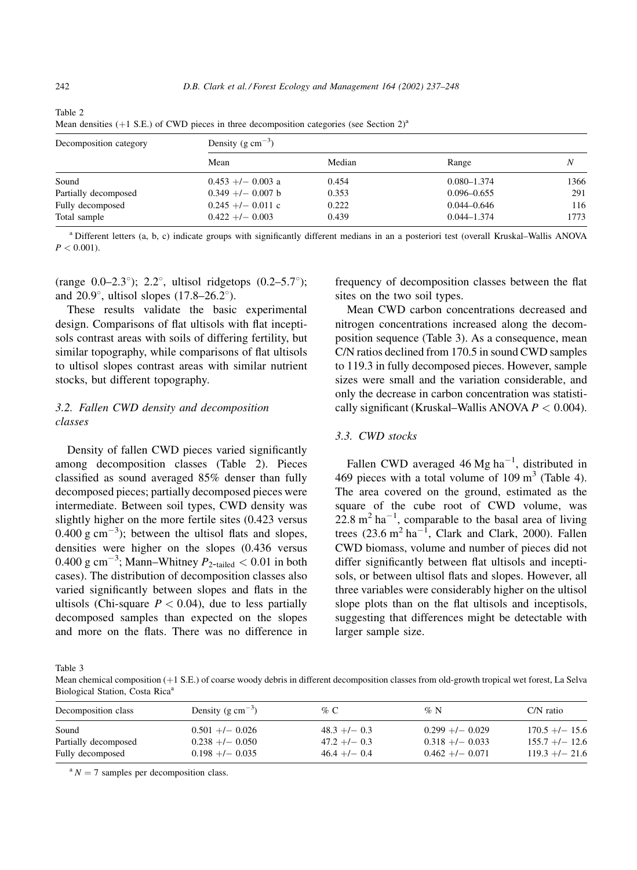| Decomposition category | Density (g $\text{cm}^{-3}$ ) |        |                 |      |  |  |
|------------------------|-------------------------------|--------|-----------------|------|--|--|
|                        | Mean                          | Median | Range           | Ν    |  |  |
| Sound                  | $0.453 +/- 0.003$ a           | 0.454  | $0.080 - 1.374$ | 1366 |  |  |
| Partially decomposed   | $0.349 +/- 0.007$ b           | 0.353  | $0.096 - 0.655$ | 291  |  |  |
| Fully decomposed       | $0.245 +/- 0.011$ c           | 0.222  | $0.044 - 0.646$ | 116  |  |  |
| Total sample           | $0.422 + - 0.003$             | 0.439  | $0.044 - 1.374$ | 1773 |  |  |

Table 2 Mean densities (+1 S.E.) of CWD pieces in three decomposition categories (see Section 2)<sup>a</sup>

<sup>a</sup> Different letters (a, b, c) indicate groups with significantly different medians in an a posteriori test (overall Kruskal–Wallis ANOVA  $P < 0.001$ ).

(range 0.0–2.3°); 2.2°, ultisol ridgetops  $(0.2-5.7°)$ ; and 20.9°, ultisol slopes  $(17.8-26.2^{\circ})$ .

These results validate the basic experimental design. Comparisons of flat ultisols with flat inceptisols contrast areas with soils of differing fertility, but similar topography, while comparisons of flat ultisols to ultisol slopes contrast areas with similar nutrient stocks, but different topography.

# 3.2. Fallen CWD density and decomposition classes

Density of fallen CWD pieces varied significantly among decomposition classes (Table 2). Pieces classified as sound averaged  $85\%$  denser than fully decomposed pieces; partially decomposed pieces were intermediate. Between soil types, CWD density was slightly higher on the more fertile sites (0.423 versus  $0.400$  g cm<sup>-3</sup>); between the ultisol flats and slopes, densities were higher on the slopes (0.436 versus 0.400 g cm<sup>-3</sup>; Mann-Whitney  $P_{2$ -tailed < 0.01 in both cases). The distribution of decomposition classes also varied significantly between slopes and flats in the ultisols (Chi-square  $P < 0.04$ ), due to less partially decomposed samples than expected on the slopes and more on the flats. There was no difference in frequency of decomposition classes between the flat sites on the two soil types.

Mean CWD carbon concentrations decreased and nitrogen concentrations increased along the decomposition sequence (Table 3). As a consequence, mean C/N ratios declined from 170.5 in sound CWD samples to 119.3 in fully decomposed pieces. However, sample sizes were small and the variation considerable, and only the decrease in carbon concentration was statistically significant (Kruskal–Wallis ANOVA  $P < 0.004$ ).

## 3.3. CWD stocks

Fallen CWD averaged 46 Mg ha<sup> $-1$ </sup>, distributed in 469 pieces with a total volume of  $109 \text{ m}^3$  (Table 4). The area covered on the ground, estimated as the square of the cube root of CWD volume, was 22.8  $m^2$  ha<sup>-1</sup>, comparable to the basal area of living trees  $(23.6 \text{ m}^2 \text{ ha}^{-1}$ , Clark and Clark, 2000). Fallen CWD biomass, volume and number of pieces did not differ significantly between flat ultisols and inceptisols, or between ultisol flats and slopes. However, all three variables were considerably higher on the ultisol slope plots than on the flat ultisols and inceptisols, suggesting that differences might be detectable with larger sample size.

Table 3

Mean chemical composition (+1 S.E.) of coarse woody debris in different decomposition classes from old-growth tropical wet forest, La Selva Biological Station, Costa Rica<sup>a</sup>

| Decomposition class           | Density (g $\text{cm}^{-3}$ )        | % C                                  | $\%$ N                               | $C/N$ ratio                          |
|-------------------------------|--------------------------------------|--------------------------------------|--------------------------------------|--------------------------------------|
| Sound<br>Partially decomposed | $0.501 +/- 0.026$<br>$0.238 + 0.050$ | $48.3 + 1 - 0.3$<br>$47.2 + 1 - 0.3$ | $0.299 + 0.029$<br>$0.318 +/- 0.033$ | $170.5 +/- 15.6$<br>$155.7 +/- 12.6$ |
| Fully decomposed              | $0.198 + - 0.035$                    | $46.4 +/- 0.4$                       | $0.462 +/- 0.071$                    | $119.3 +/- 21.6$                     |

 $N = 7$  samples per decomposition class.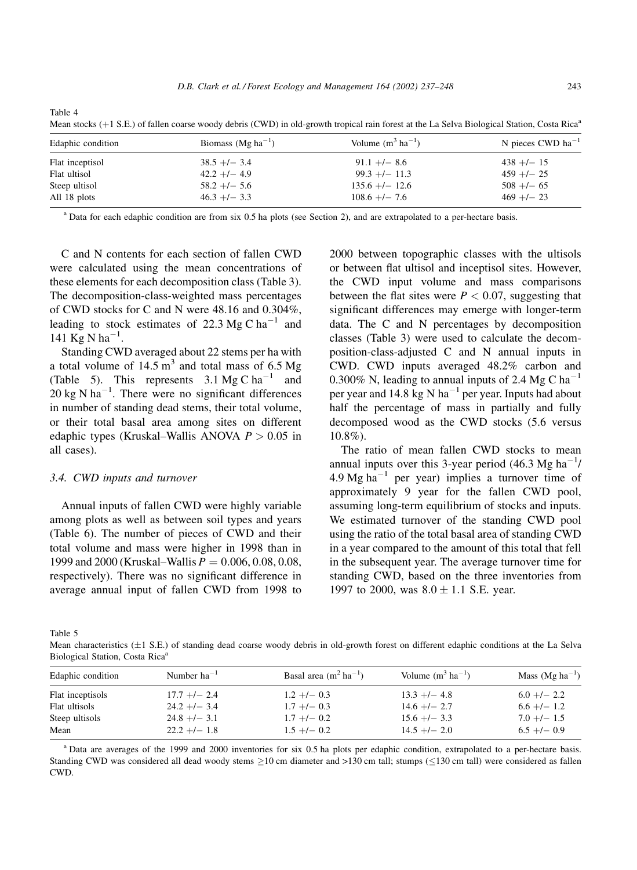Table 4

Mean stocks  $(+1 S.E.)$  of fallen coarse woody debris (CWD) in old-growth tropical rain forest at the La Selva Biological Station, Costa Rica<sup>a</sup>

| Edaphic condition | Biomass (Mg ha <sup>-1</sup> ) | Volume $(m^3 \text{ ha}^{-1})$ | N pieces CWD $ha^{-1}$ |
|-------------------|--------------------------------|--------------------------------|------------------------|
| Flat inceptisol   | $38.5 +/- 3.4$                 | $91.1 +/- 8.6$                 | $438 + 1 - 15$         |
| Flat ultisol      | $42.2 + 1 - 4.9$               | $99.3 +/- 11.3$                | $459 + - 25$           |
| Steep ultisol     | $58.2 +/- 5.6$                 | $135.6 +/- 12.6$               | $508 + 65$             |
| All 18 plots      | $46.3 +/- 3.3$                 | $108.6 +/- 7.6$                | $469 + - 23$           |

<sup>a</sup> Data for each edaphic condition are from six 0.5 ha plots (see Section 2), and are extrapolated to a per-hectare basis.

C and N contents for each section of fallen CWD were calculated using the mean concentrations of these elements for each decomposition class (Table 3). The decomposition-class-weighted mass percentages of CWD stocks for C and N were 48.16 and 0.304%, leading to stock estimates of 22.3 Mg C ha<sup>-1</sup> and 141 Kg N ha<sup>-1</sup>.

Standing CWD averaged about 22 stems per ha with a total volume of  $14.5 \text{ m}^3$  and total mass of 6.5 Mg (Table 5). This represents  $3.1 \text{ Mg C ha}^{-1}$  and 20 kg N ha<sup> $-1$ </sup>. There were no significant differences in number of standing dead stems, their total volume, or their total basal area among sites on different edaphic types (Kruskal–Wallis ANOVA  $P > 0.05$  in all cases).

#### 3.4. CWD inputs and turnover

Annual inputs of fallen CWD were highly variable among plots as well as between soil types and years (Table 6). The number of pieces of CWD and their total volume and mass were higher in 1998 than in 1999 and 2000 (Kruskal–Wallis  $P = 0.006, 0.08, 0.08$ , respectively). There was no significant difference in average annual input of fallen CWD from 1998 to

2000 between topographic classes with the ultisols or between flat ultisol and inceptisol sites. However, the CWD input volume and mass comparisons between the flat sites were  $P < 0.07$ , suggesting that significant differences may emerge with longer-term data. The C and N percentages by decomposition classes (Table 3) were used to calculate the decomposition-class-adjusted C and N annual inputs in CWD. CWD inputs averaged 48.2% carbon and 0.300% N, leading to annual inputs of 2.4 Mg C ha<sup>-1</sup> per year and 14.8 kg N ha<sup>-1</sup> per year. Inputs had about half the percentage of mass in partially and fully decomposed wood as the CWD stocks (5.6 versus  $10.8\%$ ).

The ratio of mean fallen CWD stocks to mean annual inputs over this 3-year period  $(46.3 \text{ Mg ha}^{-1})$ 4.9 Mg ha<sup> $-1$ </sup> per year) implies a turnover time of approximately 9 year for the fallen CWD pool, assuming long-term equilibrium of stocks and inputs. We estimated turnover of the standing CWD pool using the ratio of the total basal area of standing CWD in a year compared to the amount of this total that fell in the subsequent year. The average turnover time for standing CWD, based on the three inventories from 1997 to 2000, was  $8.0 \pm 1.1$  S.E. year.

Table 5

Mean characteristics  $(\pm 1 \text{ S.E.})$  of standing dead coarse woody debris in old-growth forest on different edaphic conditions at the La Selva Biological Station, Costa Rica<sup>®</sup>

| Edaphic condition | Number $ha^{-1}$ | Basal area $(m^2 \text{ ha}^{-1})$ | Volume $(m^3 \text{ ha}^{-1})$ | Mass $(Mg ha^{-1})$ |
|-------------------|------------------|------------------------------------|--------------------------------|---------------------|
| Flat inceptisols  | $17.7 +/- 2.4$   | $1.2 +/- 0.3$                      | $13.3 +/- 4.8$                 | $6.0 +1 - 2.2$      |
| Flat ultisols     | $24.2 +1 - 3.4$  | $1.7 +/- 0.3$                      | $14.6 + - 2.7$                 | $6.6 +/- 1.2$       |
| Steep ultisols    | $24.8 + - 3.1$   | $1.7 +/- 0.2$                      | $15.6 +/- 3.3$                 | $7.0 +/- 1.5$       |
| Mean              | $22.2 + - 1.8$   | $1.5 +/- 0.2$                      | $14.5 +/- 2.0$                 | $6.5 +/- 0.9$       |

<sup>a</sup> Data are averages of the 1999 and 2000 inventories for six 0.5 ha plots per edaphic condition, extrapolated to a per-hectare basis. Standing CWD was considered all dead woody stems  $\geq$ 10 cm diameter and >130 cm tall; stumps ( $\leq$ 130 cm tall) were considered as fallen CWD.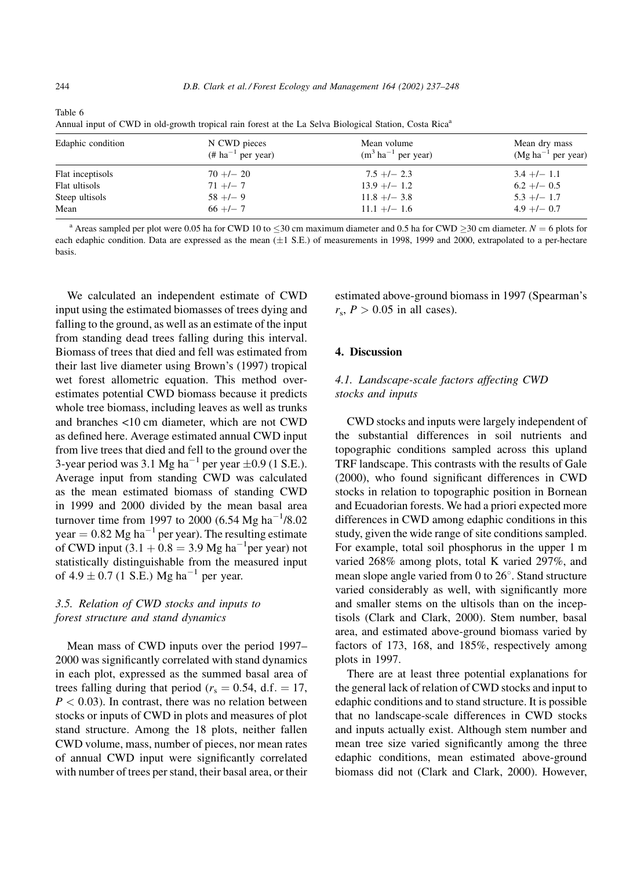Annual input of CWD in old-growth tropical rain forest at the La Selva Biological Station, Costa Rica<sup>a</sup>

| Edaphic condition | N CWD pieces<br>$(\# ha^{-1}$ per year) | Mean volume<br>$(m^3 \text{ ha}^{-1} \text{ per year})$ | Mean dry mass<br>$(Mg ha^{-1}$ per year) |
|-------------------|-----------------------------------------|---------------------------------------------------------|------------------------------------------|
| Flat inceptisols  | $70 + 20$                               | $7.5 + - - 2.3$                                         | $3.4 +/- 1.1$                            |
| Flat ultisols     | $71 +/- 7$                              | $13.9 +/- 1.2$                                          | $6.2 +/- 0.5$                            |
| Steep ultisols    | $58 + 7 - 9$                            | $11.8 + - 3.8$                                          | $5.3 +/- 1.7$                            |
| Mean              | $66 +/- 7$                              | $11.1 +/- 1.6$                                          | $4.9 +/- 0.7$                            |

<sup>a</sup> Areas sampled per plot were 0.05 ha for CWD 10 to  $\leq$ 30 cm maximum diameter and 0.5 ha for CWD  $\geq$ 30 cm diameter. N = 6 plots for each edaphic condition. Data are expressed as the mean  $(\pm 1 \text{ S.E.})$  of measurements in 1998, 1999 and 2000, extrapolated to a per-hectare hasis

We calculated an independent estimate of CWD input using the estimated biomasses of trees dying and falling to the ground, as well as an estimate of the input from standing dead trees falling during this interval. Biomass of trees that died and fell was estimated from their last live diameter using Brown's (1997) tropical wet forest allometric equation. This method overestimates potential CWD biomass because it predicts whole tree biomass, including leaves as well as trunks and branches <10 cm diameter, which are not CWD as defined here. Average estimated annual CWD input from live trees that died and fell to the ground over the 3-year period was 3.1 Mg ha<sup>-1</sup> per year  $\pm 0.9$  (1 S.E.). Average input from standing CWD was calculated as the mean estimated biomass of standing CWD in 1999 and 2000 divided by the mean basal area turnover time from 1997 to 2000 (6.54 Mg ha<sup>-1</sup>/8.02) year =  $0.82$  Mg ha<sup>-1</sup> per year). The resulting estimate of CWD input  $(3.1 + 0.8 = 3.9$  Mg ha<sup>-1</sup>per year) not statistically distinguishable from the measured input of  $4.9 \pm 0.7$  (1 S.E.) Mg ha<sup>-1</sup> per year.

# 3.5. Relation of CWD stocks and inputs to forest structure and stand dynamics

Mean mass of CWD inputs over the period 1997– 2000 was significantly correlated with stand dynamics in each plot, expressed as the summed basal area of trees falling during that period ( $r_s = 0.54$ , d.f. = 17,  $P < 0.03$ ). In contrast, there was no relation between stocks or inputs of CWD in plots and measures of plot stand structure. Among the 18 plots, neither fallen CWD volume, mass, number of pieces, nor mean rates of annual CWD input were significantly correlated with number of trees per stand, their basal area, or their estimated above-ground biomass in 1997 (Spearman's  $r_s$ ,  $P > 0.05$  in all cases).

## 4. Discussion

# 4.1. Landscape-scale factors affecting CWD stocks and inputs

CWD stocks and inputs were largely independent of the substantial differences in soil nutrients and topographic conditions sampled across this upland TRF landscape. This contrasts with the results of Gale (2000), who found significant differences in CWD stocks in relation to topographic position in Bornean and Ecuadorian forests. We had a priori expected more differences in CWD among edaphic conditions in this study, given the wide range of site conditions sampled. For example, total soil phosphorus in the upper 1 m varied 268% among plots, total K varied 297%, and mean slope angle varied from 0 to 26°. Stand structure varied considerably as well, with significantly more and smaller stems on the ultisols than on the inceptisols (Clark and Clark, 2000). Stem number, basal area, and estimated above-ground biomass varied by factors of 173, 168, and 185%, respectively among plots in 1997.

There are at least three potential explanations for the general lack of relation of CWD stocks and input to edaphic conditions and to stand structure. It is possible that no landscape-scale differences in CWD stocks and inputs actually exist. Although stem number and mean tree size varied significantly among the three edaphic conditions, mean estimated above-ground biomass did not (Clark and Clark, 2000). However,

Table 6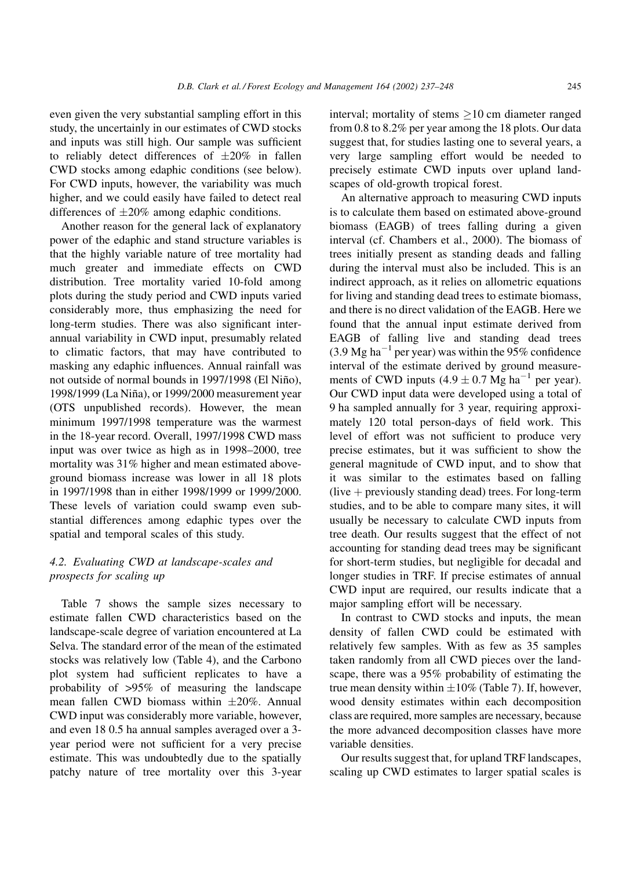even given the very substantial sampling effort in this study, the uncertainly in our estimates of CWD stocks and inputs was still high. Our sample was sufficient to reliably detect differences of  $\pm 20\%$  in fallen CWD stocks among edaphic conditions (see below). For CWD inputs, however, the variability was much higher, and we could easily have failed to detect real differences of  $\pm 20\%$  among edaphic conditions.

Another reason for the general lack of explanatory power of the edaphic and stand structure variables is that the highly variable nature of tree mortality had much greater and immediate effects on CWD distribution. Tree mortality varied 10-fold among plots during the study period and CWD inputs varied considerably more, thus emphasizing the need for long-term studies. There was also significant interannual variability in CWD input, presumably related to climatic factors, that may have contributed to masking any edaphic influences. Annual rainfall was not outside of normal bounds in 1997/1998 (El Niño), 1998/1999 (La Niña), or 1999/2000 measurement year (OTS unpublished records). However, the mean minimum 1997/1998 temperature was the warmest in the 18-year record. Overall, 1997/1998 CWD mass input was over twice as high as in 1998–2000, tree mortality was 31% higher and mean estimated aboveground biomass increase was lower in all 18 plots in 1997/1998 than in either 1998/1999 or 1999/2000. These levels of variation could swamp even substantial differences among edaphic types over the spatial and temporal scales of this study.

## 4.2. Evaluating CWD at landscape-scales and prospects for scaling up

Table 7 shows the sample sizes necessary to estimate fallen CWD characteristics based on the landscape-scale degree of variation encountered at La Selva. The standard error of the mean of the estimated stocks was relatively low (Table 4), and the Carbono plot system had sufficient replicates to have a probability of >95% of measuring the landscape mean fallen CWD biomass within  $\pm 20\%$ . Annual CWD input was considerably more variable, however, and even 18 0.5 ha annual samples averaged over a 3year period were not sufficient for a very precise estimate. This was undoubtedly due to the spatially patchy nature of tree mortality over this 3-year interval; mortality of stems  $\geq$ 10 cm diameter ranged from 0.8 to  $8.2\%$  per year among the 18 plots. Our data suggest that, for studies lasting one to several years, a very large sampling effort would be needed to precisely estimate CWD inputs over upland landscapes of old-growth tropical forest.

An alternative approach to measuring CWD inputs is to calculate them based on estimated above-ground biomass (EAGB) of trees falling during a given interval (cf. Chambers et al., 2000). The biomass of trees initially present as standing deads and falling during the interval must also be included. This is an indirect approach, as it relies on allometric equations for living and standing dead trees to estimate biomass, and there is no direct validation of the EAGB. Here we found that the annual input estimate derived from EAGB of falling live and standing dead trees  $(3.9 \text{ Mg ha}^{-1})$  per year) was within the 95% confidence interval of the estimate derived by ground measurements of CWD inputs  $(4.9 \pm 0.7 \text{ Mg ha}^{-1})$  per year). Our CWD input data were developed using a total of 9 ha sampled annually for 3 year, requiring approximately 120 total person-days of field work. This level of effort was not sufficient to produce very precise estimates, but it was sufficient to show the general magnitude of CWD input, and to show that it was similar to the estimates based on falling  $(live + previously standing dead)$  trees. For long-term studies, and to be able to compare many sites, it will usually be necessary to calculate CWD inputs from tree death. Our results suggest that the effect of not accounting for standing dead trees may be significant for short-term studies, but negligible for decadal and longer studies in TRF. If precise estimates of annual CWD input are required, our results indicate that a major sampling effort will be necessary.

In contrast to CWD stocks and inputs, the mean density of fallen CWD could be estimated with relatively few samples. With as few as 35 samples taken randomly from all CWD pieces over the landscape, there was a 95% probability of estimating the true mean density within  $\pm 10\%$  (Table 7). If, however, wood density estimates within each decomposition class are required, more samples are necessary, because the more advanced decomposition classes have more variable densities.

Our results suggest that, for upland TRF landscapes, scaling up CWD estimates to larger spatial scales is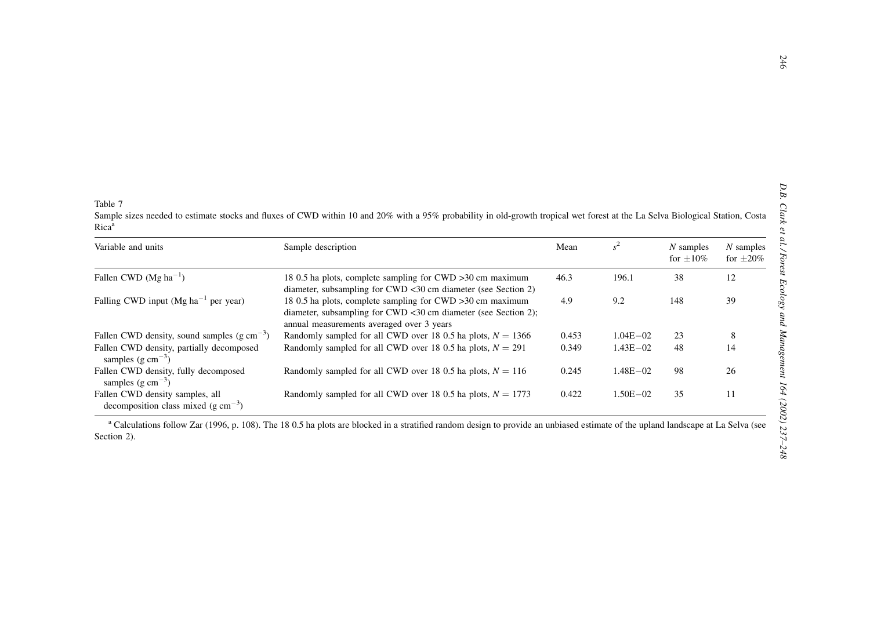Table 7

Sample sizes needed to estimate stocks and fluxes of CWD within 10 and 20% with a 95% probability in old-growth tropical wet forest at the La Selva Biological Station, Costa  $Rica<sup>a</sup>$ 

| Variable and units                                                          | Sample description                                                                                                                                                        | Mean  |              | $N$ samples<br>for $\pm 10\%$ | $N$ samples<br>for $+20\%$ |
|-----------------------------------------------------------------------------|---------------------------------------------------------------------------------------------------------------------------------------------------------------------------|-------|--------------|-------------------------------|----------------------------|
| Fallen CWD ( $Mg$ ha <sup>-1</sup> )                                        | 18 0.5 ha plots, complete sampling for CWD > 30 cm maximum<br>diameter, subsampling for CWD <30 cm diameter (see Section 2)                                               | 46.3  | 196.1        | 38                            | 12                         |
| Falling CWD input $(Mg ha^{-1}$ per year)                                   | 18 0.5 ha plots, complete sampling for CWD > 30 cm maximum<br>diameter, subsampling for CWD <30 cm diameter (see Section 2);<br>annual measurements averaged over 3 years | 4.9   | 9.2          | 148                           | 39                         |
| Fallen CWD density, sound samples $(g \text{ cm}^{-3})$                     | Randomly sampled for all CWD over 18 0.5 ha plots, $N = 1366$                                                                                                             | 0.453 | $1.04E - 02$ | 23                            | 8                          |
| Fallen CWD density, partially decomposed<br>samples $(g \text{ cm}^{-3})$   | Randomly sampled for all CWD over 18 0.5 ha plots, $N = 291$                                                                                                              | 0.349 | $1.43E - 02$ | 48                            | 14                         |
| Fallen CWD density, fully decomposed<br>samples $(g \text{ cm}^{-3})$       | Randomly sampled for all CWD over 18 0.5 ha plots, $N = 116$                                                                                                              | 0.245 | $1.48E - 02$ | 98                            | 26                         |
| Fallen CWD density samples, all<br>decomposition class mixed (g $cm^{-3}$ ) | Randomly sampled for all CWD over 18 0.5 ha plots, $N = 1773$                                                                                                             | 0.422 | $1.50E - 02$ | 35                            | 11                         |

<sup>a</sup> Calculations follow Zar (1996, p. 108). The 18 0.5 ha plots are blocked in a stratified random design to provide an unbiased estimate of the upland landscape at La Selva (see Section 2).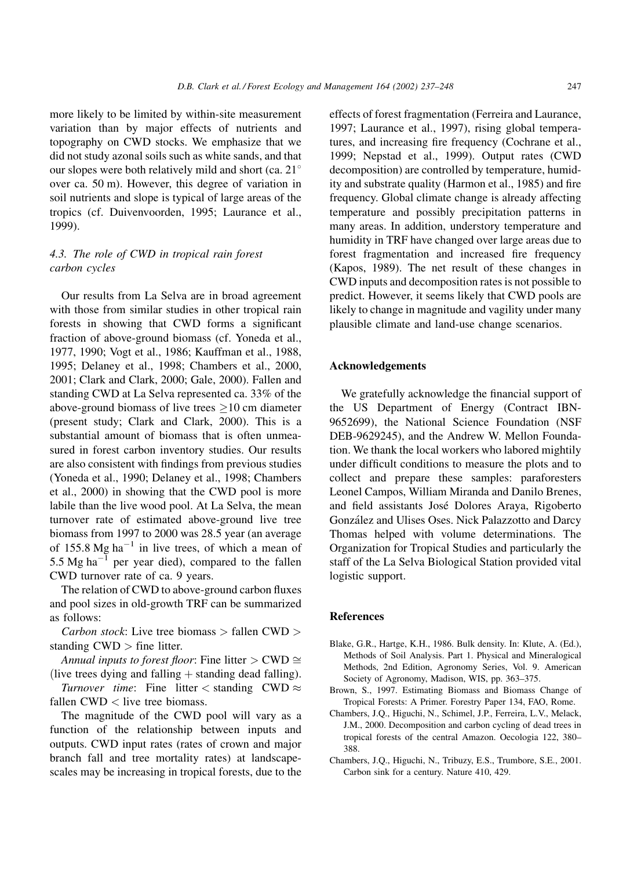more likely to be limited by within-site measurement variation than by major effects of nutrients and topography on CWD stocks. We emphasize that we did not study azonal soils such as white sands, and that our slopes were both relatively mild and short (ca.  $21^{\circ}$ over ca. 50 m). However, this degree of variation in soil nutrients and slope is typical of large areas of the tropics (cf. Duivenvoorden, 1995; Laurance et al., 1999).

# 4.3. The role of CWD in tropical rain forest carbon cycles

Our results from La Selva are in broad agreement with those from similar studies in other tropical rain forests in showing that CWD forms a significant fraction of above-ground biomass (cf. Yoneda et al., 1977, 1990; Vogt et al., 1986; Kauffman et al., 1988, 1995; Delaney et al., 1998; Chambers et al., 2000, 2001; Clark and Clark, 2000; Gale, 2000). Fallen and standing CWD at La Selva represented ca. 33% of the above-ground biomass of live trees  $>10$  cm diameter (present study; Clark and Clark, 2000). This is a substantial amount of biomass that is often unmeasured in forest carbon inventory studies. Our results are also consistent with findings from previous studies (Yoneda et al., 1990; Delaney et al., 1998; Chambers et al., 2000) in showing that the CWD pool is more labile than the live wood pool. At La Selva, the mean turnover rate of estimated above-ground live tree biomass from 1997 to 2000 was 28.5 year (an average of 155.8 Mg ha<sup> $-1$ </sup> in live trees, of which a mean of 5.5 Mg ha<sup> $-\bar{1}$ </sup> per year died), compared to the fallen CWD turnover rate of ca. 9 years.

The relation of CWD to above-ground carbon fluxes and pool sizes in old-growth TRF can be summarized as follows:

*Carbon stock*: Live tree biomass  $>$  fallen CWD  $>$ standing  $CWD >$  fine litter.

Annual inputs to forest floor: Fine litter > CWD  $\cong$ (live trees dying and falling  $+$  standing dead falling).

*Turnover time:* Fine litter  $\lt$  standing CWD  $\approx$ fallen  $CWD <$  live tree biomass.

The magnitude of the CWD pool will vary as a function of the relationship between inputs and outputs. CWD input rates (rates of crown and major branch fall and tree mortality rates) at landscapescales may be increasing in tropical forests, due to the

effects of forest fragmentation (Ferreira and Laurance, 1997; Laurance et al., 1997), rising global temperatures, and increasing fire frequency (Cochrane et al., 1999; Nepstad et al., 1999). Output rates (CWD decomposition) are controlled by temperature, humidity and substrate quality (Harmon et al., 1985) and fire frequency. Global climate change is already affecting temperature and possibly precipitation patterns in many areas. In addition, understory temperature and humidity in TRF have changed over large areas due to forest fragmentation and increased fire frequency (Kapos, 1989). The net result of these changes in CWD inputs and decomposition rates is not possible to predict. However, it seems likely that CWD pools are likely to change in magnitude and vagility under many plausible climate and land-use change scenarios.

#### Acknowledgements

We gratefully acknowledge the financial support of the US Department of Energy (Contract IBN-9652699), the National Science Foundation (NSF DEB-9629245), and the Andrew W. Mellon Foundation. We thank the local workers who labored mightily under difficult conditions to measure the plots and to collect and prepare these samples: paraforesters Leonel Campos, William Miranda and Danilo Brenes, and field assistants José Dolores Araya, Rigoberto González and Ulises Oses. Nick Palazzotto and Darcy Thomas helped with volume determinations. The Organization for Tropical Studies and particularly the staff of the La Selva Biological Station provided vital logistic support.

#### **References**

- Blake, G.R., Hartge, K.H., 1986. Bulk density. In: Klute, A. (Ed.), Methods of Soil Analysis. Part 1. Physical and Mineralogical Methods, 2nd Edition, Agronomy Series, Vol. 9. American Society of Agronomy, Madison, WIS, pp. 363-375.
- Brown, S., 1997. Estimating Biomass and Biomass Change of Tropical Forests: A Primer. Forestry Paper 134, FAO, Rome.
- Chambers, J.Q., Higuchi, N., Schimel, J.P., Ferreira, L.V., Melack, J.M., 2000. Decomposition and carbon cycling of dead trees in tropical forests of the central Amazon. Oecologia 122, 380-388.
- Chambers, J.Q., Higuchi, N., Tribuzy, E.S., Trumbore, S.E., 2001. Carbon sink for a century. Nature 410, 429.